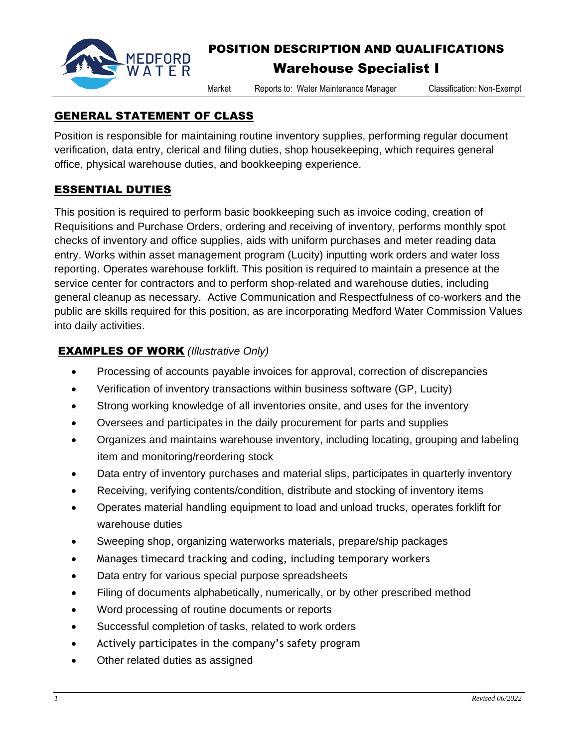

# POSITION DESCRIPTION AND QUALIFICATIONS

# Warehouse Specialist I

Market Reports to: Water Maintenance Manager Classification: Non-Exempt

### GENERAL STATEMENT OF CLASS

Position is responsible for maintaining routine inventory supplies, performing regular document verification, data entry, clerical and filing duties, shop housekeeping, which requires general office, physical warehouse duties, and bookkeeping experience.

## ESSENTIAL DUTIES

This position is required to perform basic bookkeeping such as invoice coding, creation of Requisitions and Purchase Orders, ordering and receiving of inventory, performs monthly spot checks of inventory and office supplies, aids with uniform purchases and meter reading data entry. Works within asset management program (Lucity) inputting work orders and water loss reporting. Operates warehouse forklift. This position is required to maintain a presence at the service center for contractors and to perform shop-related and warehouse duties, including general cleanup as necessary. Active Communication and Respectfulness of co-workers and the public are skills required for this position, as are incorporating Medford Water Commission Values into daily activities.

### EXAMPLES OF WORK *(Illustrative Only)*

- Processing of accounts payable invoices for approval, correction of discrepancies
- Verification of inventory transactions within business software (GP, Lucity)
- Strong working knowledge of all inventories onsite, and uses for the inventory
- Oversees and participates in the daily procurement for parts and supplies
- Organizes and maintains warehouse inventory, including locating, grouping and labeling item and monitoring/reordering stock
- Data entry of inventory purchases and material slips, participates in quarterly inventory
- Receiving, verifying contents/condition, distribute and stocking of inventory items
- Operates material handling equipment to load and unload trucks, operates forklift for warehouse duties
- Sweeping shop, organizing waterworks materials, prepare/ship packages
- Manages timecard tracking and coding, including temporary workers
- Data entry for various special purpose spreadsheets
- Filing of documents alphabetically, numerically, or by other prescribed method
- Word processing of routine documents or reports
- Successful completion of tasks, related to work orders
- Actively participates in the company's safety program
- Other related duties as assigned